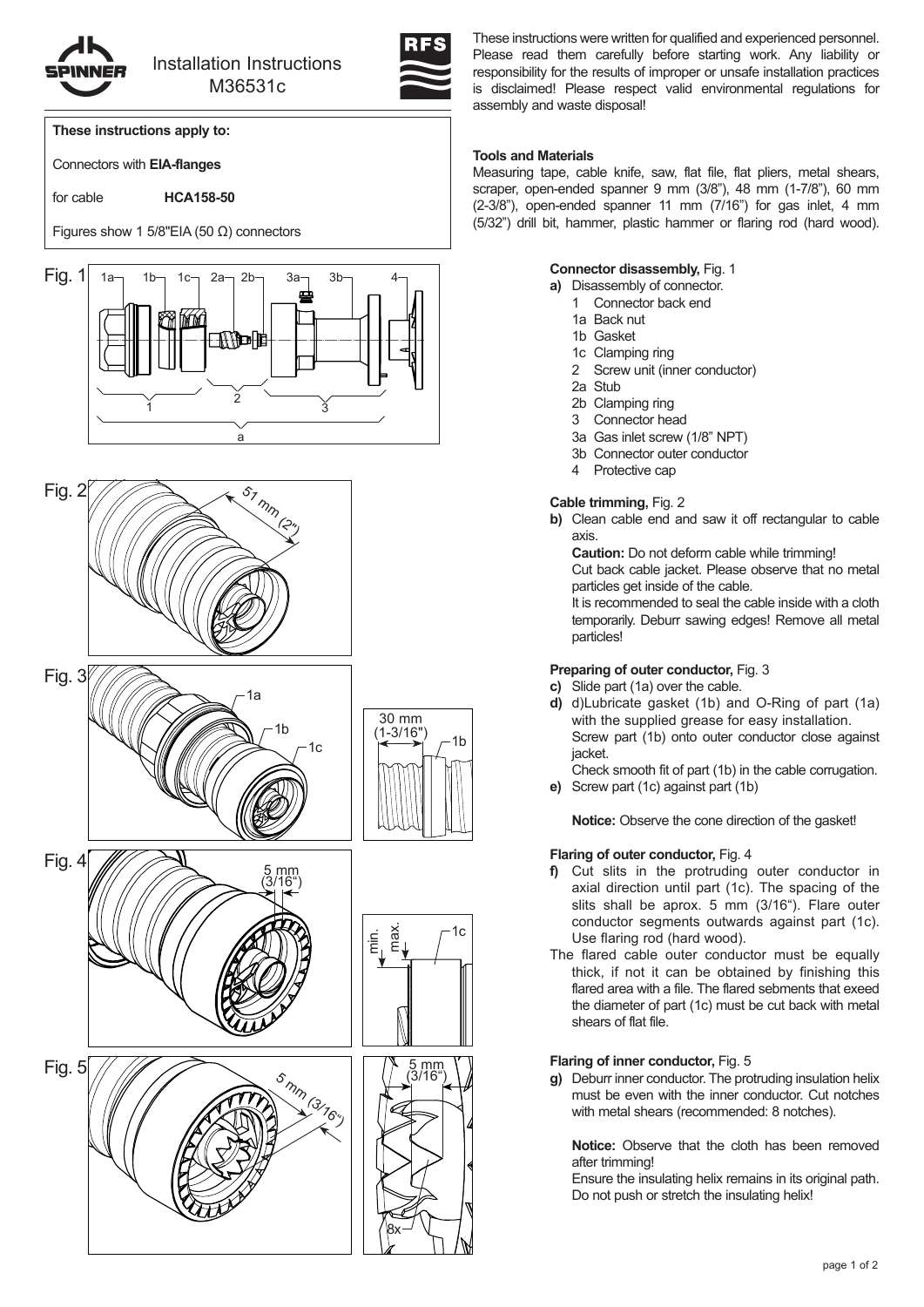

# lnstallation Instructions M36531c



**These instructions apply to:**

Connectors with **EIA-flanges**

for cable **HCA158-50**

Figures show 1 5/8"EIA (50 Ω) connectors













These instructions were written for qualified and experienced personnel. Please read them carefully before starting work. Any liability or responsibility for the results of improper or unsafe installation practices is disclaimed! Please respect valid environmental regulations for assembly and waste disposal!

### **Tools and Materials**

Measuring tape, cable knife, saw, flat file, flat pliers, metal shears, scraper, open-ended spanner 9 mm (3/8"), 48 mm (1-7/8"), 60 mm (2-3/8"), open-ended spanner 11 mm (7/16") for gas inlet, 4 mm (5/32") drill bit, hammer, plastic hammer or flaring rod (hard wood).

**a)** Disassembly of connector.

- 1 Connector back end
- 1a Back nut
- 1b Gasket
- 1c Clamping ring
- 2 Screw unit (inner conductor)
- 2a Stub
- 2b Clamping ring
- 3 Connector head
- 3a Gas inlet screw (1/8" NPT)
- 3b Connector outer conductor
- 4 Protective cap

## **Cable trimming,** Fig. 2

**b)** Clean cable end and saw it off rectangular to cable axis.

**Caution:** Do not deform cable while trimming!

Cut back cable jacket. Please observe that no metal particles get inside of the cable.

It is recommended to seal the cable inside with a cloth temporarily. Deburr sawing edges! Remove all metal particles!

# **Preparing of outer conductor, Fig. 3**

- **c)** Slide part (1a) over the cable.
- **d)** d)Lubricate gasket (1b) and O-Ring of part (1a) with the supplied grease for easy installation. Screw part (1b) onto outer conductor close against jacket.
	- Check smooth fit of part (1b) in the cable corrugation.
- **e)** Screw part (1c) against part (1b)

**Notice:** Observe the cone direction of the gasket!

# **Flaring of outer conductor, Fig. 4**

- **f)** Cut slits in the protruding outer conductor in axial direction until part (1c). The spacing of the slits shall be aprox. 5 mm (3/16"). Flare outer conductor segments outwards against part (1c). Use flaring rod (hard wood).
- The flared cable outer conductor must be equally thick, if not it can be obtained by finishing this flared area with a file. The flared sebments that exeed the diameter of part (1c) must be cut back with metal shears of flat file.

# **Flaring of inner conductor, Fig. 5**

**g)** Deburr inner conductor. The protruding insulation helix must be even with the inner conductor. Cut notches with metal shears (recommended: 8 notches).

**Notice:** Observe that the cloth has been removed after trimming!

Ensure the insulating helix remains in its original path. Do not push or stretch the insulating helix!